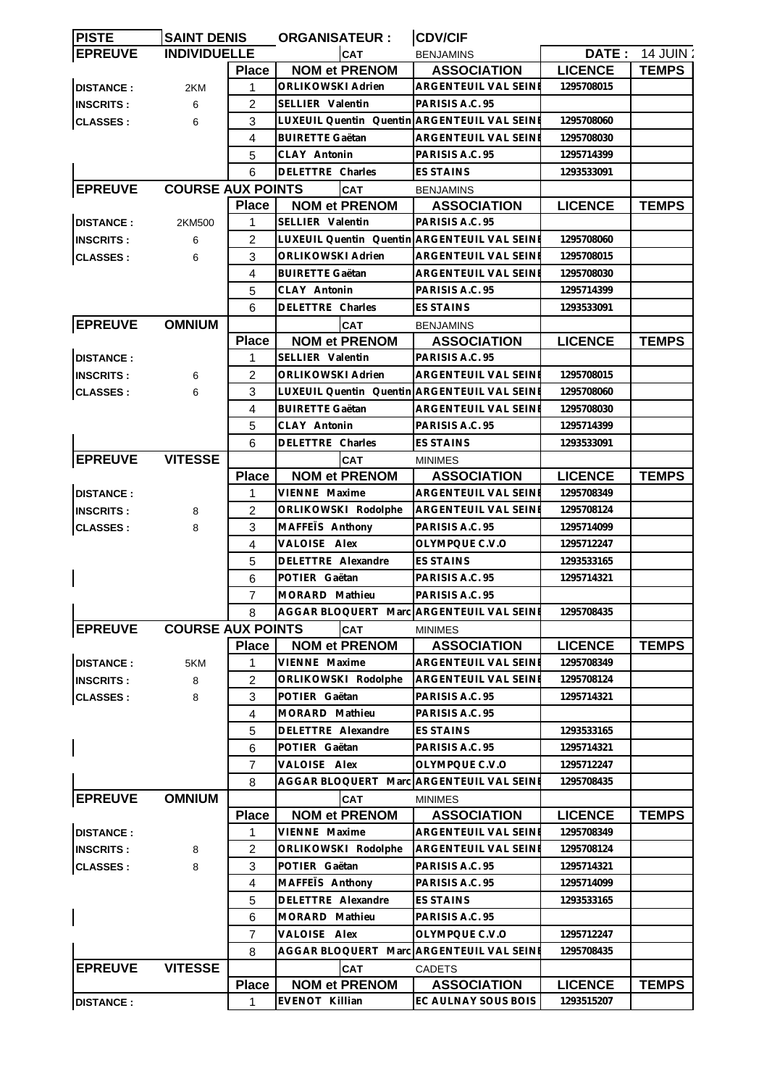| <b>PISTE</b>     | <b>SAINT DENIS</b>       |                | <b>ORGANISATEUR :</b>                        | <b>CDV/CIF</b>              |                |              |
|------------------|--------------------------|----------------|----------------------------------------------|-----------------------------|----------------|--------------|
| <b>EPREUVE</b>   | <b>INDIVIDUELLE</b>      |                | <b>CAT</b>                                   | <b>BENJAMINS</b>            | DATE :         | 14 JUIN:     |
|                  |                          | <b>Place</b>   | <b>NOM et PRENOM</b>                         | <b>ASSOCIATION</b>          | <b>LICENCE</b> | <b>TEMPS</b> |
| <b>DISTANCE:</b> | 2KM                      | 1              | ORLIKOWSKI Adrien                            | <b>ARGENTEUIL VAL SEINE</b> | 1295708015     |              |
| <b>INSCRITS:</b> | 6                        | 2              | SELLIER Valentin                             | PARISIS A.C. 95             |                |              |
| <b>CLASSES:</b>  | 6                        | 3              | LUXEUIL Quentin Quentin ARGENTEUIL VAL SEINE |                             | 1295708060     |              |
|                  |                          | 4              | <b>BUIRETTE Gaëtan</b>                       | ARGENTEUIL VAL SEINI        | 1295708030     |              |
|                  |                          | 5              | CLAY Antonin                                 | PARISIS A.C. 95             | 1295714399     |              |
|                  |                          | 6              | DELETTRE Charles                             | <b>ES STAINS</b>            | 1293533091     |              |
| <b>EPREUVE</b>   | <b>COURSE AUX POINTS</b> |                | <b>CAT</b>                                   | <b>BENJAMINS</b>            |                |              |
|                  |                          | <b>Place</b>   | <b>NOM et PRENOM</b>                         | <b>ASSOCIATION</b>          | <b>LICENCE</b> | <b>TEMPS</b> |
| <b>DISTANCE:</b> | 2KM500                   | 1              | <b>SELLIER Valentin</b>                      | PARISIS A.C. 95             |                |              |
| <b>INSCRITS:</b> | 6                        | 2              | LUXEUIL Quentin Quentin ARGENTEUIL VAL SEINE |                             | 1295708060     |              |
| <b>CLASSES:</b>  | 6                        | 3              | ORLIKOWSKI Adrien                            | ARGENTEUIL VAL SEINE        | 1295708015     |              |
|                  |                          | 4              | <b>BUIRETTE Gaëtan</b>                       | ARGENTEUIL VAL SEINI        | 1295708030     |              |
|                  |                          |                | CLAY Antonin                                 | PARISIS A.C. 95             |                |              |
|                  |                          | 5              |                                              |                             | 1295714399     |              |
|                  |                          | 6              | DELETTRE Charles                             | <b>ES STAINS</b>            | 1293533091     |              |
| <b>EPREUVE</b>   | <b>OMNIUM</b>            |                | <b>CAT</b>                                   | <b>BENJAMINS</b>            |                |              |
|                  |                          | <b>Place</b>   | <b>NOM et PRENOM</b>                         | <b>ASSOCIATION</b>          | <b>LICENCE</b> | <b>TEMPS</b> |
| <b>DISTANCE:</b> |                          | 1              | SELLIER Valentin                             | PARISIS A.C. 95             |                |              |
| <b>INSCRITS:</b> | 6                        | 2              | ORLIKOWSKI Adrien                            | ARGENTEUIL VAL SEINI        | 1295708015     |              |
| <b>CLASSES:</b>  | 6                        | 3              | LUXEUIL Quentin Quentin ARGENTEUIL VAL SEINE |                             | 1295708060     |              |
|                  |                          | 4              | <b>BUIRETTE Gaëtan</b>                       | ARGENTEUIL VAL SEINI        | 1295708030     |              |
|                  |                          | 5              | CLAY Antonin                                 | PARISIS A.C. 95             | 1295714399     |              |
|                  |                          | 6              | DELETTRE Charles                             | ES STAINS                   | 1293533091     |              |
| <b>EPREUVE</b>   | <b>VITESSE</b>           |                | <b>CAT</b>                                   | <b>MINIMES</b>              |                |              |
|                  |                          | <b>Place</b>   | <b>NOM et PRENOM</b>                         | <b>ASSOCIATION</b>          | <b>LICENCE</b> | <b>TEMPS</b> |
| <b>DISTANCE:</b> |                          | 1              | VIENNE Maxime                                | ARGENTEUIL VAL SEINE        | 1295708349     |              |
| <b>INSCRITS:</b> | 8                        | $\overline{2}$ | ORLIKOWSKI Rodolphe                          | ARGENTEUIL VAL SEINE        | 1295708124     |              |
| <b>CLASSES:</b>  | 8                        | 3              | MAFFETS Anthony                              | PARISIS A.C. 95             | 1295714099     |              |
|                  |                          | $\overline{4}$ | VALOISE Alex                                 | OLYMPQUE C.V.O              | 1295712247     |              |
|                  |                          | 5              | DELETTRE Alexandre                           | ES STAINS                   | 1293533165     |              |
|                  |                          | 6              | POTIER Gaëtan                                | PARISIS A.C. 95             | 1295714321     |              |
|                  |                          | $\overline{7}$ | MORARD Mathieu                               | PARISIS A.C. 95             |                |              |
|                  |                          | 8              | AGGAR BLOQUERT Marc ARGENTEUIL VAL SEINE     |                             | 1295708435     |              |
| <b>EPREUVE</b>   | <b>COURSE AUX POINTS</b> |                | <b>CAT</b>                                   | <b>MINIMES</b>              |                |              |
|                  |                          | <b>Place</b>   | <b>NOM et PRENOM</b>                         | <b>ASSOCIATION</b>          | <b>LICENCE</b> | <b>TEMPS</b> |
| <b>DISTANCE:</b> | 5KM                      | 1              | VIENNE Maxime                                | ARGENTEUIL VAL SEINE        | 1295708349     |              |
| <b>INSCRITS:</b> | 8                        | 2              | ORLIKOWSKI Rodolphe                          | ARGENTEUIL VAL SEINE        | 1295708124     |              |
|                  | 8                        | 3              | POTIER Gaëtan                                | PARISIS A.C. 95             | 1295714321     |              |
| <b>CLASSES:</b>  |                          | 4              | MORARD Mathieu                               | PARISIS A.C. 95             |                |              |
|                  |                          | 5              | DELETTRE Alexandre                           | ES STAINS                   | 1293533165     |              |
|                  |                          |                | POTIER Gaëtan                                |                             | 1295714321     |              |
|                  |                          | 6              |                                              | PARISIS A.C. 95             |                |              |
|                  |                          | $\overline{7}$ | VALOISE Alex                                 | OLYMPQUE C.V.O              | 1295712247     |              |
|                  |                          | 8              | AGGAR BLOQUERT Marc ARGENTEUIL VAL SEINI     |                             | 1295708435     |              |
| <b>EPREUVE</b>   | <b>OMNIUM</b>            |                | <b>CAT</b>                                   | <b>MINIMES</b>              |                |              |
|                  |                          | <b>Place</b>   | <b>NOM et PRENOM</b>                         | <b>ASSOCIATION</b>          | <b>LICENCE</b> | <b>TEMPS</b> |
| <b>DISTANCE:</b> |                          | 1              | VIENNE Maxime                                | ARGENTEUIL VAL SEINE        | 1295708349     |              |
| <b>INSCRITS:</b> | 8                        | $\overline{2}$ | ORLIKOWSKI Rodolphe                          | ARGENTEUIL VAL SEINE        | 1295708124     |              |
| <b>CLASSES:</b>  | 8                        | 3              | POTIER Gaëtan                                | PARISIS A.C. 95             | 1295714321     |              |
|                  |                          | 4              | MAFFETS Anthony                              | PARISIS A.C. 95             | 1295714099     |              |
|                  |                          | 5              | DELETTRE Alexandre                           | ES STAINS                   | 1293533165     |              |
|                  |                          | 6              | MORARD Mathieu                               | PARISIS A.C. 95             |                |              |
|                  |                          | 7              | VALOISE Alex                                 | OLYMPQUE C.V.O              | 1295712247     |              |
|                  |                          | 8              | AGGAR BLOQUERT Marc ARGENTEUIL VAL SEINE     |                             | 1295708435     |              |
| <b>EPREUVE</b>   | <b>VITESSE</b>           |                | <b>CAT</b>                                   | <b>CADETS</b>               |                |              |
|                  |                          | <b>Place</b>   | <b>NOM et PRENOM</b>                         | <b>ASSOCIATION</b>          | <b>LICENCE</b> | <b>TEMPS</b> |
|                  |                          |                |                                              |                             |                |              |
| <b>DISTANCE:</b> |                          | 1              | <b>EVENOT Killian</b>                        | EC AULNAY SOUS BOIS         | 1293515207     |              |